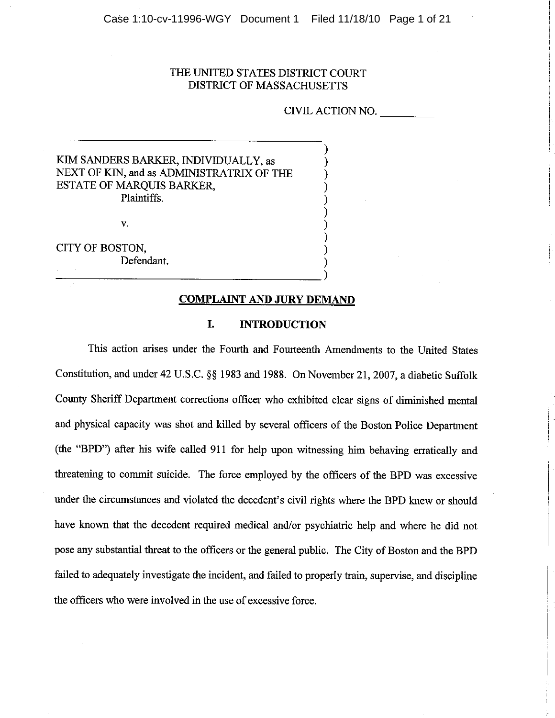## THE UNITED STATES DISTRICT COURT **DISTRICT OF MASSACHUSETTS**

CIVIL ACTION NO.

# KIM SANDERS BARKER, INDIVIDUALLY, as NEXT OF KIN, and as ADMINISTRATRIX OF THE **ESTATE OF MARQUIS BARKER,** Plaintiffs.

v.

CITY OF BOSTON. Defendant.

#### **COMPLAINT AND JURY DEMAND**

#### I. **INTRODUCTION**

This action arises under the Fourth and Fourteenth Amendments to the United States Constitution, and under 42 U.S.C. §§ 1983 and 1988. On November 21, 2007, a diabetic Suffolk County Sheriff Department corrections officer who exhibited clear signs of diminished mental and physical capacity was shot and killed by several officers of the Boston Police Department (the "BPD") after his wife called 911 for help upon witnessing him behaving erratically and threatening to commit suicide. The force employed by the officers of the BPD was excessive under the circumstances and violated the decedent's civil rights where the BPD knew or should have known that the decedent required medical and/or psychiatric help and where he did not pose any substantial threat to the officers or the general public. The City of Boston and the BPD failed to adequately investigate the incident, and failed to properly train, supervise, and discipline the officers who were involved in the use of excessive force.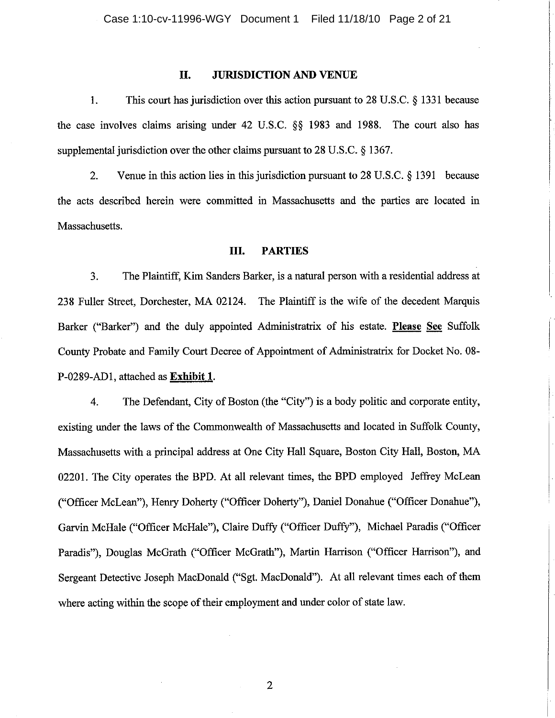#### II. **JURISDICTION AND VENUE**

 $\overline{1}$ . This court has jurisdiction over this action pursuant to 28 U.S.C. § 1331 because the case involves claims arising under 42 U.S.C. §§ 1983 and 1988. The court also has supplemental jurisdiction over the other claims pursuant to 28 U.S.C. § 1367.

 $\overline{2}$ . Venue in this action lies in this jurisdiction pursuant to  $28$  U.S.C.  $\S$  1391 because the acts described herein were committed in Massachusetts and the parties are located in Massachusetts.

#### III. **PARTIES**

 $3.$ The Plaintiff, Kim Sanders Barker, is a natural person with a residential address at 238 Fuller Street, Dorchester, MA 02124. The Plaintiff is the wife of the decedent Marquis Barker ("Barker") and the duly appointed Administratrix of his estate. Please See Suffolk County Probate and Family Court Decree of Appointment of Administratrix for Docket No. 08-P-0289-AD1, attached as Exhibit 1.

The Defendant, City of Boston (the "City") is a body politic and corporate entity. 4. existing under the laws of the Commonwealth of Massachusetts and located in Suffolk County, Massachusetts with a principal address at One City Hall Square, Boston City Hall, Boston, MA 02201. The City operates the BPD. At all relevant times, the BPD employed Jeffrey McLean ("Officer McLean"), Henry Doherty ("Officer Doherty"), Daniel Donahue ("Officer Donahue"), Garvin McHale ("Officer McHale"), Claire Duffy ("Officer Duffy"), Michael Paradis ("Officer Paradis"), Douglas McGrath ("Officer McGrath"), Martin Harrison ("Officer Harrison"), and Sergeant Detective Joseph MacDonald ("Sgt. MacDonald"). At all relevant times each of them where acting within the scope of their employment and under color of state law.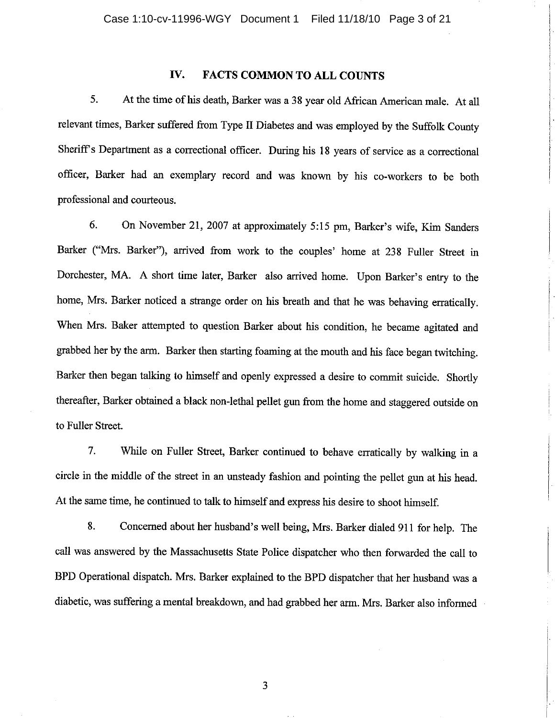#### IV. **FACTS COMMON TO ALL COUNTS**

5. At the time of his death, Barker was a 38 year old African American male. At all relevant times, Barker suffered from Type II Diabetes and was employed by the Suffolk County Sheriff's Department as a correctional officer. During his 18 years of service as a correctional officer, Barker had an exemplary record and was known by his co-workers to be both professional and courteous.

6. On November 21, 2007 at approximately 5:15 pm, Barker's wife, Kim Sanders Barker ("Mrs. Barker"), arrived from work to the couples' home at 238 Fuller Street in Dorchester, MA. A short time later, Barker also arrived home. Upon Barker's entry to the home, Mrs. Barker noticed a strange order on his breath and that he was behaving erratically. When Mrs. Baker attempted to question Barker about his condition, he became agitated and grabbed her by the arm. Barker then starting foaming at the mouth and his face began twitching. Barker then began talking to himself and openly expressed a desire to commit suicide. Shortly thereafter, Barker obtained a black non-lethal pellet gun from the home and staggered outside on to Fuller Street.

7. While on Fuller Street, Barker continued to behave erratically by walking in a circle in the middle of the street in an unsteady fashion and pointing the pellet gun at his head. At the same time, he continued to talk to himself and express his desire to shoot himself.

8. Concerned about her husband's well being, Mrs. Barker dialed 911 for help. The call was answered by the Massachusetts State Police dispatcher who then forwarded the call to BPD Operational dispatch. Mrs. Barker explained to the BPD dispatcher that her husband was a diabetic, was suffering a mental breakdown, and had grabbed her arm. Mrs. Barker also informed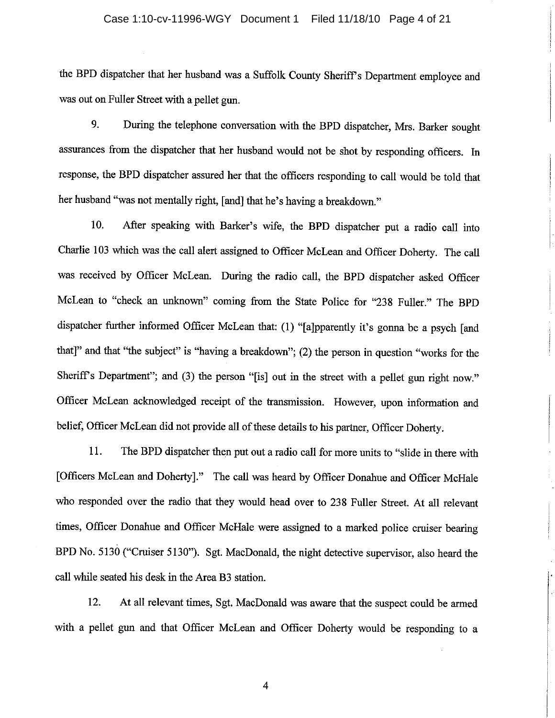#### Case 1:10-cv-11996-WGY Document 1 Filed 11/18/10 Page 4 of 21

the BPD dispatcher that her husband was a Suffolk County Sheriff's Department employee and was out on Fuller Street with a pellet gun.

9. During the telephone conversation with the BPD dispatcher, Mrs. Barker sought assurances from the dispatcher that her husband would not be shot by responding officers. In response, the BPD dispatcher assured her that the officers responding to call would be told that her husband "was not mentally right, [and] that he's having a breakdown."

10. After speaking with Barker's wife, the BPD dispatcher put a radio call into Charlie 103 which was the call alert assigned to Officer McLean and Officer Doherty. The call was received by Officer McLean. During the radio call, the BPD dispatcher asked Officer McLean to "check an unknown" coming from the State Police for "238 Fuller." The BPD dispatcher further informed Officer McLean that: (1) "[a]pparently it's gonna be a psych [and that]" and that "the subject" is "having a breakdown"; (2) the person in question "works for the Sheriff's Department"; and (3) the person "[is] out in the street with a pellet gun right now." Officer McLean acknowledged receipt of the transmission. However, upon information and belief, Officer McLean did not provide all of these details to his partner, Officer Doherty.

11. The BPD dispatcher then put out a radio call for more units to "slide in there with [Officers McLean and Doherty]." The call was heard by Officer Donahue and Officer McHale who responded over the radio that they would head over to 238 Fuller Street. At all relevant times, Officer Donahue and Officer McHale were assigned to a marked police cruiser bearing BPD No. 5130 ("Cruiser 5130"). Sgt. MacDonald, the night detective supervisor, also heard the call while seated his desk in the Area B3 station.

12. At all relevant times, Sgt. MacDonald was aware that the suspect could be armed with a pellet gun and that Officer McLean and Officer Doherty would be responding to a

 $\overline{4}$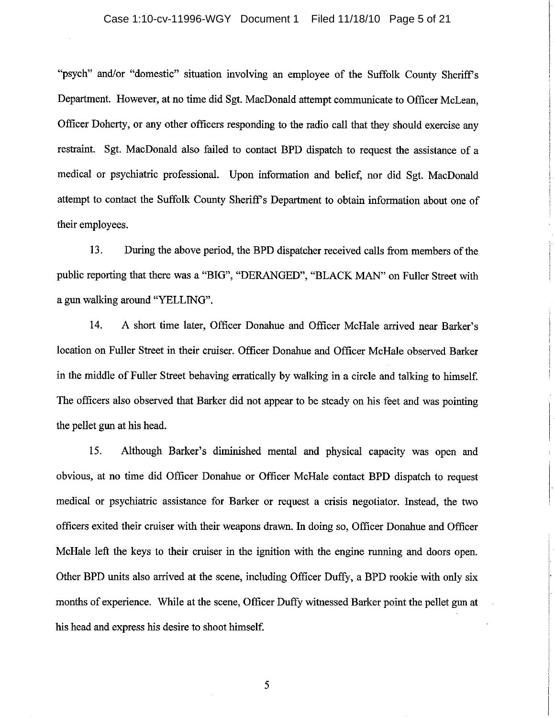### Case 1:10-cv-11996-WGY Document 1 Filed 11/18/10 Page 5 of 21

"psych" and/or "domestic" situation involving an employee of the Suffolk County Sheriff's Department. However, at no time did Sgt. MacDonald attempt communicate to Officer McLean. Officer Doherty, or any other officers responding to the radio call that they should exercise any restraint. Sgt. MacDonald also failed to contact BPD dispatch to request the assistance of a medical or psychiatric professional. Upon information and belief, nor did Sgt. MacDonald attempt to contact the Suffolk County Sheriff's Department to obtain information about one of their employees.

 $13.$ During the above period, the BPD dispatcher received calls from members of the public reporting that there was a "BIG", "DERANGED", "BLACK MAN" on Fuller Street with a gun walking around "YELLING".

 $14.$ A short time later, Officer Donahue and Officer McHale arrived near Barker's location on Fuller Street in their cruiser. Officer Donahue and Officer McHale observed Barker in the middle of Fuller Street behaving erratically by walking in a circle and talking to himself. The officers also observed that Barker did not appear to be steady on his feet and was pointing the pellet gun at his head.

15. Although Barker's diminished mental and physical capacity was open and obvious, at no time did Officer Donahue or Officer McHale contact BPD dispatch to request medical or psychiatric assistance for Barker or request a crisis negotiator. Instead, the two officers exited their cruiser with their weapons drawn. In doing so, Officer Donahue and Officer McHale left the keys to their cruiser in the ignition with the engine running and doors open. Other BPD units also arrived at the scene, including Officer Duffy, a BPD rookie with only six months of experience. While at the scene, Officer Duffy witnessed Barker point the pellet gun at his head and express his desire to shoot himself.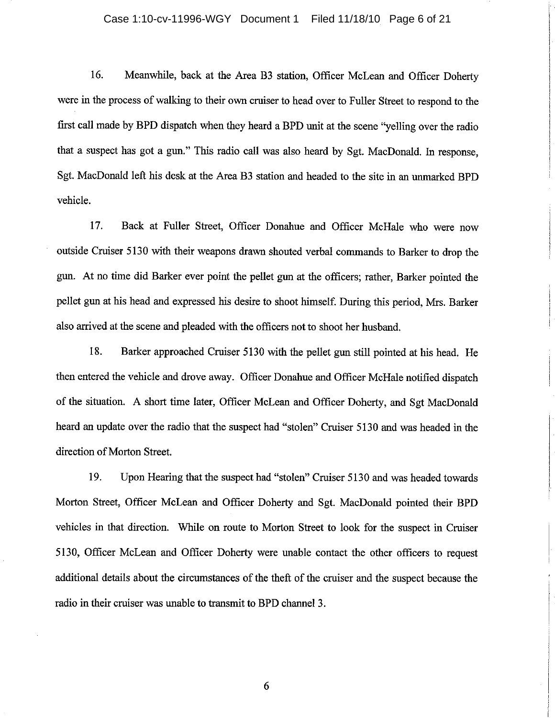### Case 1:10-cv-11996-WGY Document 1 Filed 11/18/10 Page 6 of 21

16. Meanwhile, back at the Area B3 station, Officer McLean and Officer Doherty were in the process of walking to their own cruiser to head over to Fuller Street to respond to the first call made by BPD dispatch when they heard a BPD unit at the scene "yelling over the radio that a suspect has got a gun." This radio call was also heard by Sgt. MacDonald. In response, Sgt. MacDonald left his desk at the Area B3 station and headed to the site in an unmarked BPD vehicle.

17. Back at Fuller Street, Officer Donahue and Officer McHale who were now outside Cruiser 5130 with their weapons drawn shouted verbal commands to Barker to drop the gun. At no time did Barker ever point the pellet gun at the officers; rather, Barker pointed the pellet gun at his head and expressed his desire to shoot himself. During this period, Mrs. Barker also arrived at the scene and pleaded with the officers not to shoot her husband.

18. Barker approached Cruiser 5130 with the pellet gun still pointed at his head. He then entered the vehicle and drove away. Officer Donahue and Officer McHale notified dispatch of the situation. A short time later, Officer McLean and Officer Doherty, and Sgt MacDonald heard an update over the radio that the suspect had "stolen" Cruiser 5130 and was headed in the direction of Morton Street.

19. Upon Hearing that the suspect had "stolen" Cruiser 5130 and was headed towards Morton Street, Officer McLean and Officer Doherty and Sgt. MacDonald pointed their BPD vehicles in that direction. While on route to Morton Street to look for the suspect in Cruiser 5130, Officer McLean and Officer Doherty were unable contact the other officers to request additional details about the circumstances of the theft of the cruiser and the suspect because the radio in their cruiser was unable to transmit to BPD channel 3.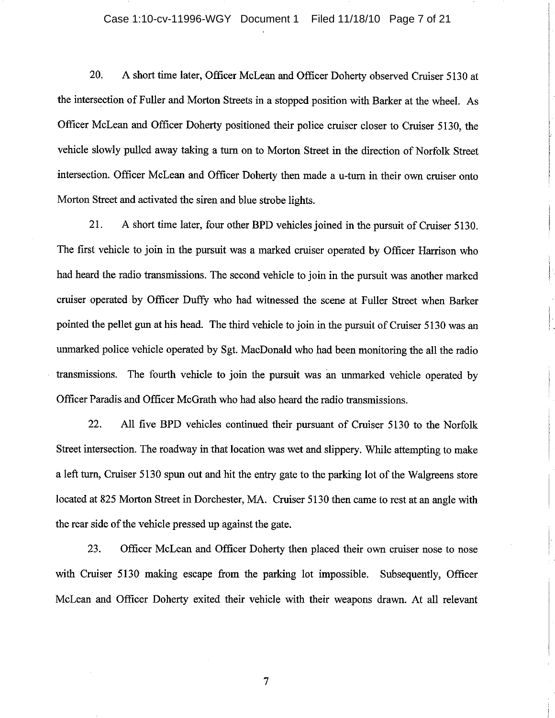## Case 1:10-cv-11996-WGY Document 1 Filed 11/18/10 Page 7 of 21

20. A short time later, Officer McLean and Officer Doherty observed Cruiser 5130 at the intersection of Fuller and Morton Streets in a stopped position with Barker at the wheel. As Officer McLean and Officer Doherty positioned their police cruiser closer to Cruiser 5130, the vehicle slowly pulled away taking a turn on to Morton Street in the direction of Norfolk Street intersection. Officer McLean and Officer Doherty then made a u-turn in their own cruiser onto Morton Street and activated the siren and blue strobe lights.

21. A short time later, four other BPD vehicles joined in the pursuit of Cruiser 5130. The first vehicle to join in the pursuit was a marked cruiser operated by Officer Harrison who had heard the radio transmissions. The second vehicle to join in the pursuit was another marked cruiser operated by Officer Duffy who had witnessed the scene at Fuller Street when Barker pointed the pellet gun at his head. The third vehicle to join in the pursuit of Cruiser 5130 was an unmarked police vehicle operated by Sgt. MacDonald who had been monitoring the all the radio transmissions. The fourth vehicle to join the pursuit was an unmarked vehicle operated by Officer Paradis and Officer McGrath who had also heard the radio transmissions.

22. All five BPD vehicles continued their pursuant of Cruiser 5130 to the Norfolk Street intersection. The roadway in that location was wet and slippery. While attempting to make a left turn, Cruiser 5130 spun out and hit the entry gate to the parking lot of the Walgreens store located at 825 Morton Street in Dorchester, MA. Cruiser 5130 then came to rest at an angle with the rear side of the vehicle pressed up against the gate.

23. Officer McLean and Officer Doherty then placed their own cruiser nose to nose with Cruiser 5130 making escape from the parking lot impossible. Subsequently, Officer McLean and Officer Doherty exited their vehicle with their weapons drawn. At all relevant

 $\overline{7}$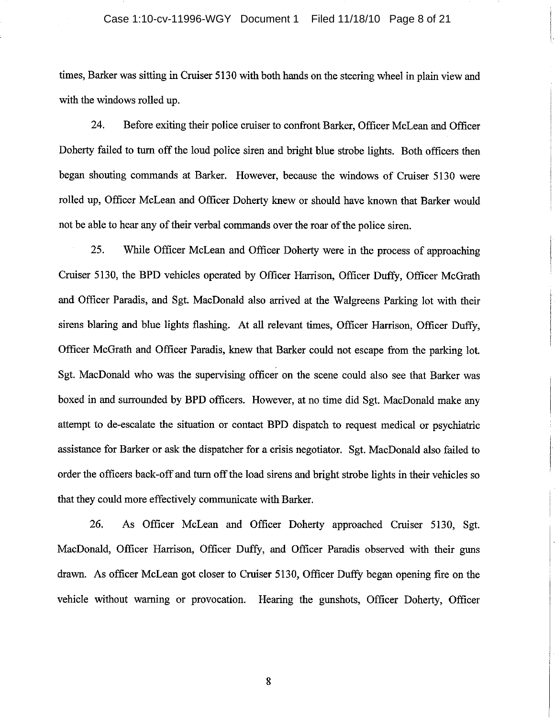## Case 1:10-cv-11996-WGY Document 1 Filed 11/18/10 Page 8 of 21

times, Barker was sitting in Cruiser 5130 with both hands on the steering wheel in plain view and with the windows rolled up.

24. Before exiting their police cruiser to confront Barker, Officer McLean and Officer Doherty failed to turn off the loud police siren and bright blue strobe lights. Both officers then began shouting commands at Barker. However, because the windows of Cruiser 5130 were rolled up, Officer McLean and Officer Doherty knew or should have known that Barker would not be able to hear any of their verbal commands over the roar of the police siren.

25. While Officer McLean and Officer Doherty were in the process of approaching Cruiser 5130, the BPD vehicles operated by Officer Harrison, Officer Duffy, Officer McGrath and Officer Paradis, and Sgt. MacDonald also arrived at the Walgreens Parking lot with their sirens blaring and blue lights flashing. At all relevant times, Officer Harrison, Officer Duffy, Officer McGrath and Officer Paradis, knew that Barker could not escape from the parking lot. Sgt. MacDonald who was the supervising officer on the scene could also see that Barker was boxed in and surrounded by BPD officers. However, at no time did Sgt. MacDonald make any attempt to de-escalate the situation or contact BPD dispatch to request medical or psychiatric assistance for Barker or ask the dispatcher for a crisis negotiator. Sgt. MacDonald also failed to order the officers back-off and turn off the load sirens and bright strobe lights in their vehicles so that they could more effectively communicate with Barker.

26. As Officer McLean and Officer Doherty approached Cruiser 5130, Sgt. MacDonald, Officer Harrison, Officer Duffy, and Officer Paradis observed with their guns drawn. As officer McLean got closer to Cruiser 5130, Officer Duffy began opening fire on the vehicle without warning or provocation. Hearing the gunshots, Officer Doherty, Officer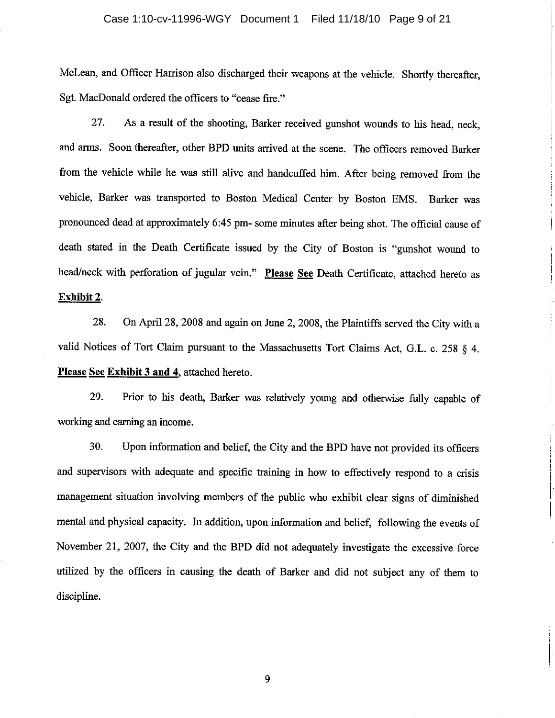#### Case 1:10-cv-11996-WGY Document 1 Filed 11/18/10 Page 9 of 21

McLean, and Officer Harrison also discharged their weapons at the vehicle. Shortly thereafter, Sgt. MacDonald ordered the officers to "cease fire."

27. As a result of the shooting, Barker received gunshot wounds to his head, neck. and arms. Soon thereafter, other BPD units arrived at the scene. The officers removed Barker from the vehicle while he was still alive and handcuffed him. After being removed from the vehicle, Barker was transported to Boston Medical Center by Boston EMS. Barker was pronounced dead at approximately 6:45 pm- some minutes after being shot. The official cause of death stated in the Death Certificate issued by the City of Boston is "gunshot wound to head/neck with perforation of jugular vein." Please See Death Certificate, attached hereto as Exhibit 2.

28. On April 28, 2008 and again on June 2, 2008, the Plaintiffs served the City with a valid Notices of Tort Claim pursuant to the Massachusetts Tort Claims Act, G.L. c. 258 § 4. Please See Exhibit 3 and 4, attached hereto.

29. Prior to his death, Barker was relatively young and otherwise fully capable of working and earning an income.

30. Upon information and belief, the City and the BPD have not provided its officers and supervisors with adequate and specific training in how to effectively respond to a crisis management situation involving members of the public who exhibit clear signs of diminished mental and physical capacity. In addition, upon information and belief, following the events of November 21, 2007, the City and the BPD did not adequately investigate the excessive force utilized by the officers in causing the death of Barker and did not subject any of them to discipline.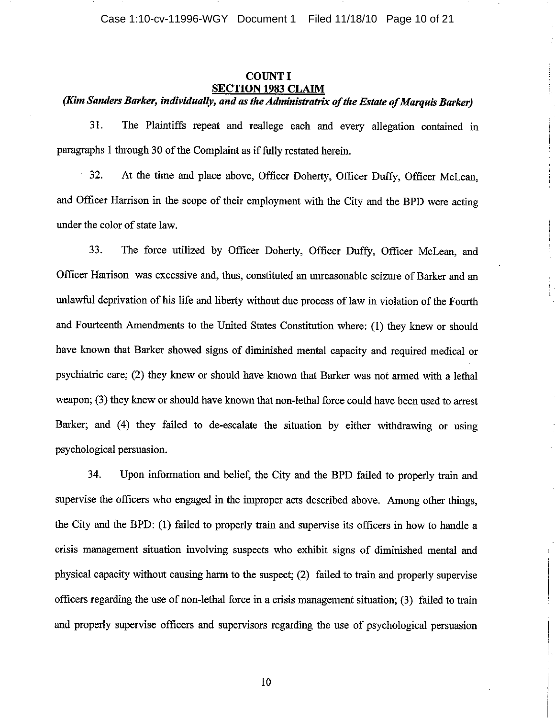## **COUNT I SECTION 1983 CLAIM**

# (Kim Sanders Barker, individually, and as the Administratrix of the Estate of Marquis Barker)

31. The Plaintiffs repeat and reallege each and every allegation contained in paragraphs 1 through 30 of the Complaint as if fully restated herein.

32. At the time and place above, Officer Doherty, Officer Duffy, Officer McLean, and Officer Harrison in the scope of their employment with the City and the BPD were acting under the color of state law.

33. The force utilized by Officer Doherty, Officer Duffy, Officer McLean, and Officer Harrison was excessive and, thus, constituted an unreasonable seizure of Barker and an unlawful deprivation of his life and liberty without due process of law in violation of the Fourth and Fourteenth Amendments to the United States Constitution where: (1) they knew or should have known that Barker showed signs of diminished mental capacity and required medical or psychiatric care; (2) they knew or should have known that Barker was not armed with a lethal weapon; (3) they knew or should have known that non-lethal force could have been used to arrest Barker; and (4) they failed to de-escalate the situation by either withdrawing or using psychological persuasion.

34. Upon information and belief, the City and the BPD failed to properly train and supervise the officers who engaged in the improper acts described above. Among other things, the City and the BPD: (1) failed to properly train and supervise its officers in how to handle a crisis management situation involving suspects who exhibit signs of diminished mental and physical capacity without causing harm to the suspect; (2) failed to train and properly supervise officers regarding the use of non-lethal force in a crisis management situation; (3) failed to train and properly supervise officers and supervisors regarding the use of psychological persuasion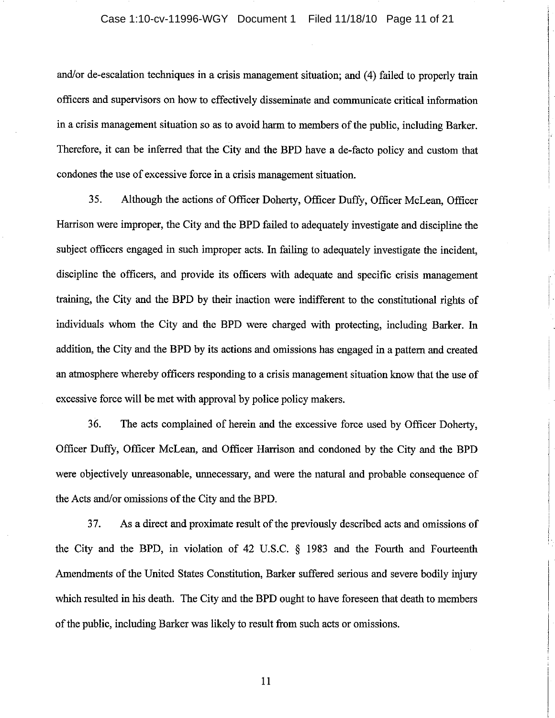and/or de-escalation techniques in a crisis management situation; and (4) failed to properly train officers and supervisors on how to effectively disseminate and communicate critical information in a crisis management situation so as to avoid harm to members of the public, including Barker. Therefore, it can be inferred that the City and the BPD have a de-facto policy and custom that condones the use of excessive force in a crisis management situation.

35. Although the actions of Officer Doherty, Officer Duffy, Officer McLean, Officer Harrison were improper, the City and the BPD failed to adequately investigate and discipline the subject officers engaged in such improper acts. In failing to adequately investigate the incident, discipline the officers, and provide its officers with adequate and specific crisis management training, the City and the BPD by their inaction were indifferent to the constitutional rights of individuals whom the City and the BPD were charged with protecting, including Barker. In addition, the City and the BPD by its actions and omissions has engaged in a pattern and created an atmosphere whereby officers responding to a crisis management situation know that the use of excessive force will be met with approval by police policy makers.

 $36.$ The acts complained of herein and the excessive force used by Officer Doherty, Officer Duffy, Officer McLean, and Officer Harrison and condoned by the City and the BPD were objectively unreasonable, unnecessary, and were the natural and probable consequence of the Acts and/or omissions of the City and the BPD.

37. As a direct and proximate result of the previously described acts and omissions of the City and the BPD, in violation of 42 U.S.C.  $\S$  1983 and the Fourth and Fourteenth Amendments of the United States Constitution, Barker suffered serious and severe bodily injury which resulted in his death. The City and the BPD ought to have foreseen that death to members of the public, including Barker was likely to result from such acts or omissions.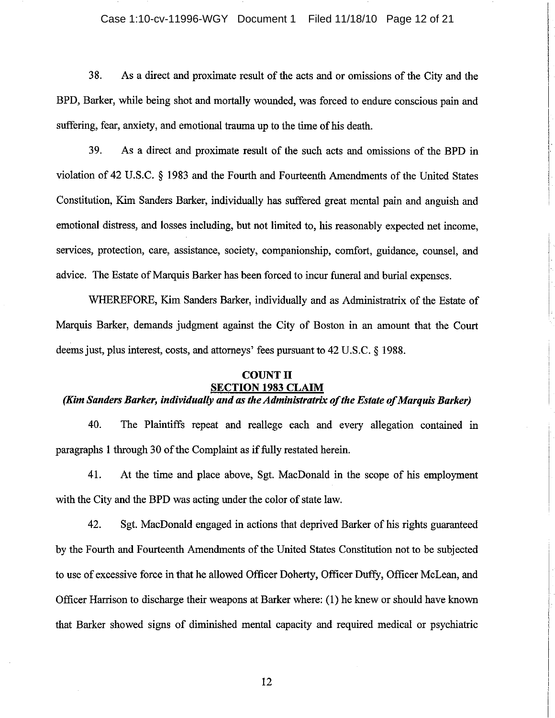## Case 1:10-cv-11996-WGY Document 1 Filed 11/18/10 Page 12 of 21

38. As a direct and proximate result of the acts and or omissions of the City and the BPD, Barker, while being shot and mortally wounded, was forced to endure conscious pain and suffering, fear, anxiety, and emotional trauma up to the time of his death.

39. As a direct and proximate result of the such acts and omissions of the BPD in violation of 42 U.S.C. § 1983 and the Fourth and Fourteenth Amendments of the United States Constitution, Kim Sanders Barker, individually has suffered great mental pain and anguish and emotional distress, and losses including, but not limited to, his reasonably expected net income. services, protection, care, assistance, society, companionship, comfort, guidance, counsel, and advice. The Estate of Marquis Barker has been forced to incur funeral and burial expenses.

WHEREFORE, Kim Sanders Barker, individually and as Administratrix of the Estate of Marquis Barker, demands judgment against the City of Boston in an amount that the Court deems just, plus interest, costs, and attorneys' fees pursuant to 42 U.S.C. § 1988.

#### **COUNT II SECTION 1983 CLAIM**

# (Kim Sanders Barker, individually and as the Administratrix of the Estate of Marquis Barker)

40. The Plaintiffs repeat and reallege each and every allegation contained in paragraphs 1 through 30 of the Complaint as if fully restated herein.

41. At the time and place above, Sgt. MacDonald in the scope of his employment with the City and the BPD was acting under the color of state law.

42. Sgt. MacDonald engaged in actions that deprived Barker of his rights guaranteed by the Fourth and Fourteenth Amendments of the United States Constitution not to be subjected to use of excessive force in that he allowed Officer Doherty, Officer Duffy, Officer McLean, and Officer Harrison to discharge their weapons at Barker where: (1) he knew or should have known that Barker showed signs of diminished mental capacity and required medical or psychiatric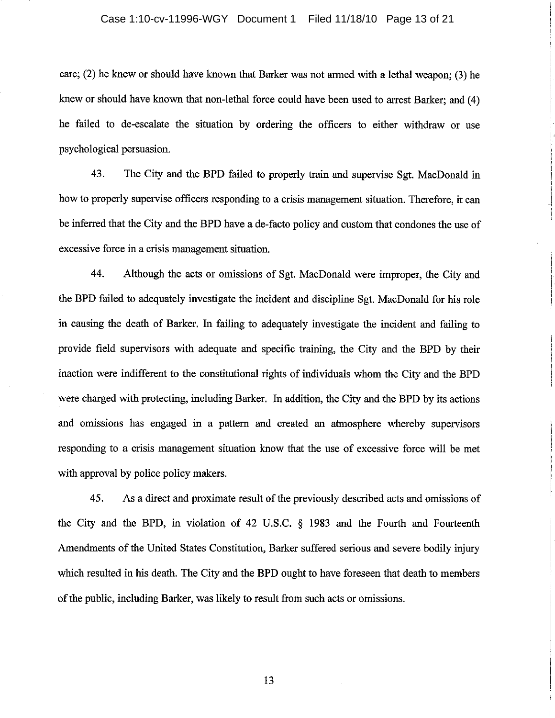#### Case 1:10-cv-11996-WGY Document 1 Filed 11/18/10 Page 13 of 21

care; (2) he knew or should have known that Barker was not armed with a lethal weapon: (3) he knew or should have known that non-lethal force could have been used to arrest Barker; and (4) he failed to de-escalate the situation by ordering the officers to either withdraw or use psychological persuasion.

43. The City and the BPD failed to properly train and supervise Sgt. MacDonald in how to properly supervise officers responding to a crisis management situation. Therefore, it can be inferred that the City and the BPD have a de-facto policy and custom that condones the use of excessive force in a crisis management situation.

44. Although the acts or omissions of Sgt. MacDonald were improper, the City and the BPD failed to adequately investigate the incident and discipline Sgt. MacDonald for his role in causing the death of Barker. In failing to adequately investigate the incident and failing to provide field supervisors with adequate and specific training, the City and the BPD by their inaction were indifferent to the constitutional rights of individuals whom the City and the BPD were charged with protecting, including Barker. In addition, the City and the BPD by its actions and omissions has engaged in a pattern and created an atmosphere whereby supervisors responding to a crisis management situation know that the use of excessive force will be met with approval by police policy makers.

45. As a direct and proximate result of the previously described acts and omissions of the City and the BPD, in violation of 42 U.S.C. § 1983 and the Fourth and Fourteenth Amendments of the United States Constitution, Barker suffered serious and severe bodily injury which resulted in his death. The City and the BPD ought to have foreseen that death to members of the public, including Barker, was likely to result from such acts or omissions.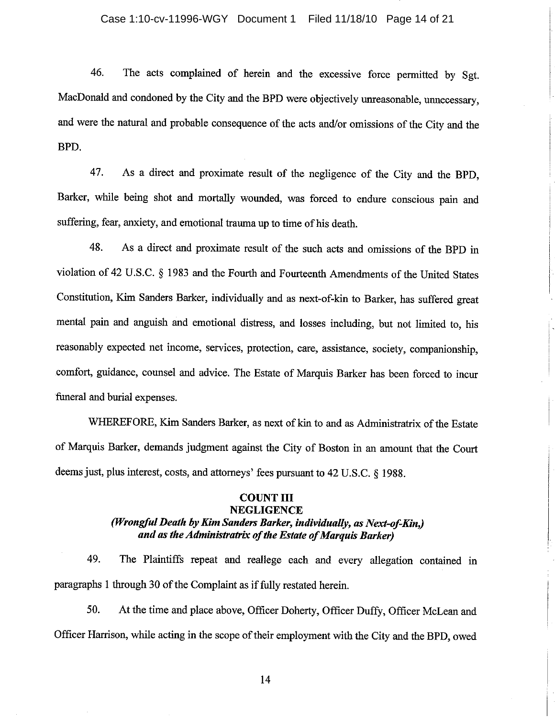#### Case 1:10-cv-11996-WGY Document 1 Filed 11/18/10 Page 14 of 21

46. The acts complained of herein and the excessive force permitted by Sgt. MacDonald and condoned by the City and the BPD were objectively unreasonable, unnecessary, and were the natural and probable consequence of the acts and/or omissions of the City and the BPD.

As a direct and proximate result of the negligence of the City and the BPD, 47. Barker, while being shot and mortally wounded, was forced to endure conscious pain and suffering, fear, anxiety, and emotional trauma up to time of his death.

48. As a direct and proximate result of the such acts and omissions of the BPD in violation of 42 U.S.C. § 1983 and the Fourth and Fourteenth Amendments of the United States Constitution, Kim Sanders Barker, individually and as next-of-kin to Barker, has suffered great mental pain and anguish and emotional distress, and losses including, but not limited to, his reasonably expected net income, services, protection, care, assistance, society, companionship, comfort, guidance, counsel and advice. The Estate of Marquis Barker has been forced to incur funeral and burial expenses.

WHEREFORE, Kim Sanders Barker, as next of kin to and as Administratrix of the Estate of Marquis Barker, demands judgment against the City of Boston in an amount that the Court deems just, plus interest, costs, and attorneys' fees pursuant to 42 U.S.C. § 1988.

# **COUNT III**

# **NEGLIGENCE**

# (Wrongful Death by Kim Sanders Barker, individually, as Next-of-Kin.) and as the Administratrix of the Estate of Marauis Barker)

49. The Plaintiffs repeat and reallege each and every allegation contained in paragraphs 1 through 30 of the Complaint as if fully restated herein.

50. At the time and place above, Officer Doherty, Officer Duffy, Officer McLean and Officer Harrison, while acting in the scope of their employment with the City and the BPD, owed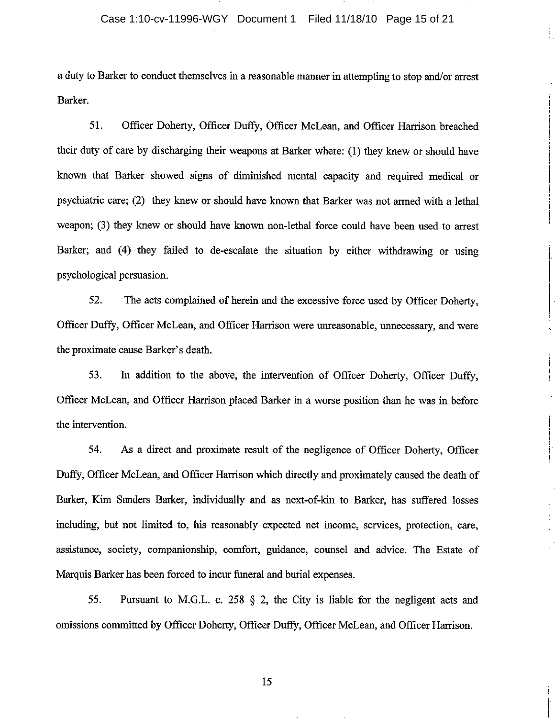a duty to Barker to conduct themselves in a reasonable manner in attempting to stop and/or arrest Barker.

51. Officer Doherty, Officer Duffy, Officer McLean, and Officer Harrison breached their duty of care by discharging their weapons at Barker where: (1) they knew or should have known that Barker showed signs of diminished mental capacity and required medical or psychiatric care; (2) they knew or should have known that Barker was not armed with a lethal weapon; (3) they knew or should have known non-lethal force could have been used to arrest Barker; and (4) they failed to de-escalate the situation by either withdrawing or using psychological persuasion.

52. The acts complained of herein and the excessive force used by Officer Doherty, Officer Duffy, Officer McLean, and Officer Harrison were unreasonable, unnecessary, and were the proximate cause Barker's death.

53. In addition to the above, the intervention of Officer Doherty, Officer Duffy, Officer McLean, and Officer Harrison placed Barker in a worse position than he was in before the intervention.

54. As a direct and proximate result of the negligence of Officer Doherty, Officer Duffy, Officer McLean, and Officer Harrison which directly and proximately caused the death of Barker, Kim Sanders Barker, individually and as next-of-kin to Barker, has suffered losses including, but not limited to, his reasonably expected net income, services, protection, care, assistance, society, companionship, comfort, guidance, counsel and advice. The Estate of Marquis Barker has been forced to incur funeral and burial expenses.

55. Pursuant to M.G.L. c. 258  $\S$  2, the City is liable for the negligent acts and omissions committed by Officer Doherty, Officer Duffy, Officer McLean, and Officer Harrison.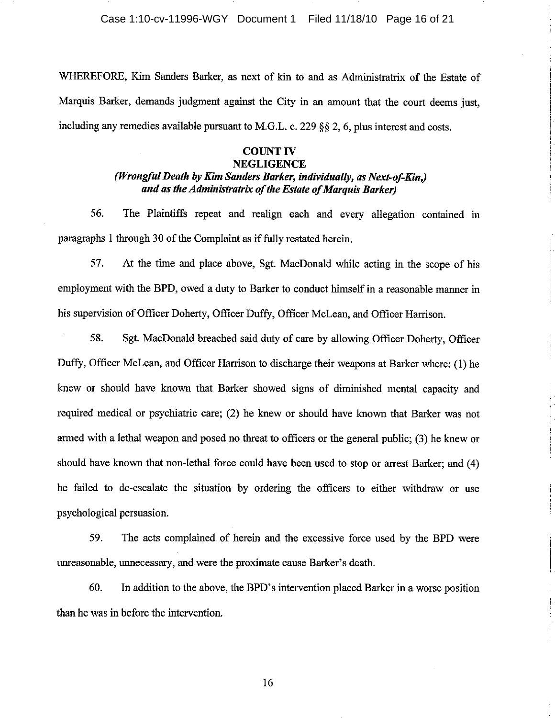WHEREFORE, Kim Sanders Barker, as next of kin to and as Administratrix of the Estate of Marquis Barker, demands judgment against the City in an amount that the court deems just, including any remedies available pursuant to M.G.L. c. 229 §§ 2, 6, plus interest and costs.

# **COUNT IV**

# **NEGLIGENCE** (Wrongful Death by Kim Sanders Barker, individually, as Next-of-Kin,) and as the Administratrix of the Estate of Marauis Barker)

56. The Plaintiffs repeat and realign each and every allegation contained in paragraphs 1 through 30 of the Complaint as if fully restated herein.

57. At the time and place above, Sgt. MacDonald while acting in the scope of his employment with the BPD, owed a duty to Barker to conduct himself in a reasonable manner in his supervision of Officer Doherty, Officer Duffy, Officer McLean, and Officer Harrison.

58. Sgt. MacDonald breached said duty of care by allowing Officer Doherty, Officer Duffy, Officer McLean, and Officer Harrison to discharge their weapons at Barker where: (1) he knew or should have known that Barker showed signs of diminished mental capacity and required medical or psychiatric care; (2) he knew or should have known that Barker was not armed with a lethal weapon and posed no threat to officers or the general public; (3) he knew or should have known that non-lethal force could have been used to stop or arrest Barker; and (4) he failed to de-escalate the situation by ordering the officers to either withdraw or use psychological persuasion.

59. The acts complained of herein and the excessive force used by the BPD were unreasonable, unnecessary, and were the proximate cause Barker's death.

60. In addition to the above, the BPD's intervention placed Barker in a worse position than he was in before the intervention.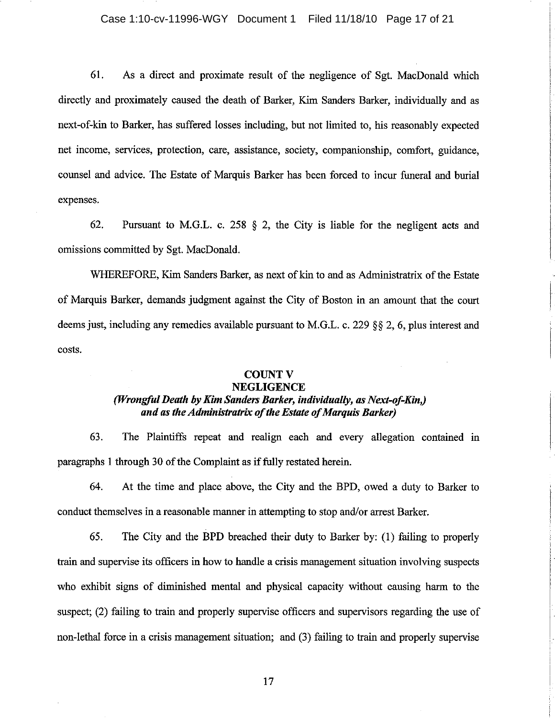## Case 1:10-cv-11996-WGY Document 1 Filed 11/18/10 Page 17 of 21

61. As a direct and proximate result of the negligence of Sgt. MacDonald which directly and proximately caused the death of Barker, Kim Sanders Barker, individually and as next-of-kin to Barker, has suffered losses including, but not limited to, his reasonably expected net income, services, protection, care, assistance, society, companionship, comfort, guidance, counsel and advice. The Estate of Marquis Barker has been forced to incur funeral and burial expenses.

Pursuant to M.G.L. c. 258  $\S$  2, the City is liable for the negligent acts and 62. omissions committed by Sgt. MacDonald.

WHEREFORE, Kim Sanders Barker, as next of kin to and as Administratrix of the Estate of Marquis Barker, demands judgment against the City of Boston in an amount that the court deems just, including any remedies available pursuant to M.G.L. c. 229 §§ 2, 6, plus interest and costs.

#### **COUNT V NEGLIGENCE**

# (Wrongful Death by Kim Sanders Barker, individually, as Next-of-Kin,) and as the Administratrix of the Estate of Marauis Barker)

63. The Plaintiffs repeat and realign each and every allegation contained in paragraphs 1 through 30 of the Complaint as if fully restated herein.

64. At the time and place above, the City and the BPD, owed a duty to Barker to conduct themselves in a reasonable manner in attempting to stop and/or arrest Barker.

65. The City and the BPD breached their duty to Barker by: (1) failing to properly train and supervise its officers in how to handle a crisis management situation involving suspects who exhibit signs of diminished mental and physical capacity without causing harm to the suspect; (2) failing to train and properly supervise officers and supervisors regarding the use of non-lethal force in a crisis management situation; and (3) failing to train and properly supervise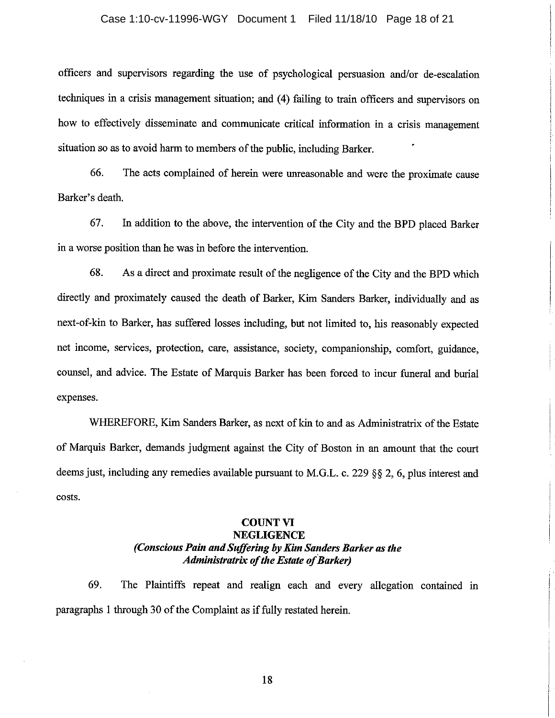#### Case 1:10-cv-11996-WGY Document 1 Filed 11/18/10 Page 18 of 21

officers and supervisors regarding the use of psychological persuasion and/or de-escalation techniques in a crisis management situation; and (4) failing to train officers and supervisors on how to effectively disseminate and communicate critical information in a crisis management situation so as to avoid harm to members of the public, including Barker.

The acts complained of herein were unreasonable and were the proximate cause 66. Barker's death.

67. In addition to the above, the intervention of the City and the BPD placed Barker in a worse position than he was in before the intervention.

68. As a direct and proximate result of the negligence of the City and the BPD which directly and proximately caused the death of Barker, Kim Sanders Barker, individually and as next-of-kin to Barker, has suffered losses including, but not limited to, his reasonably expected net income, services, protection, care, assistance, society, companionship, comfort, guidance, counsel, and advice. The Estate of Marquis Barker has been forced to incur funeral and burial expenses.

WHEREFORE, Kim Sanders Barker, as next of kin to and as Administratrix of the Estate of Marquis Barker, demands judgment against the City of Boston in an amount that the court deems just, including any remedies available pursuant to M.G.L. c. 229 §§ 2, 6, plus interest and costs.

# **COUNT VI NEGLIGENCE** (Conscious Pain and Suffering by Kim Sanders Barker as the **Administratrix of the Estate of Barker)**

69. The Plaintiffs repeat and realign each and every allegation contained in paragraphs 1 through 30 of the Complaint as if fully restated herein.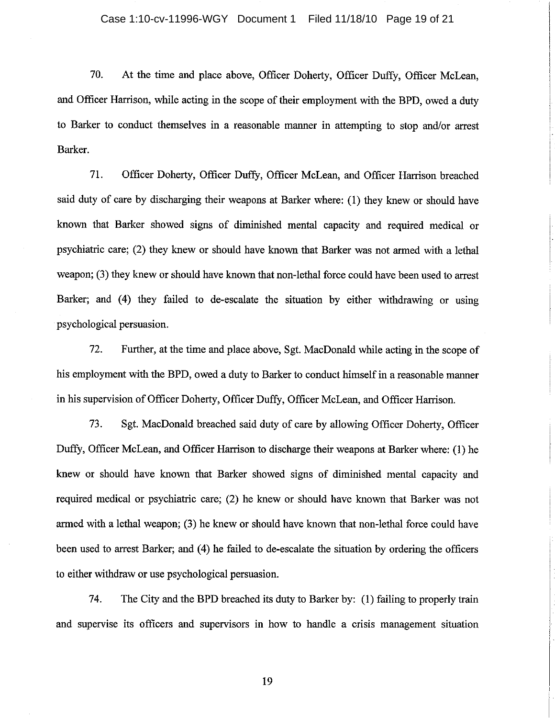70. At the time and place above, Officer Doherty, Officer Duffy, Officer McLean. and Officer Harrison, while acting in the scope of their employment with the BPD, owed a duty to Barker to conduct themselves in a reasonable manner in attempting to stop and/or arrest Barker.

71. Officer Doherty, Officer Duffy, Officer McLean, and Officer Harrison breached said duty of care by discharging their weapons at Barker where: (1) they knew or should have known that Barker showed signs of diminished mental capacity and required medical or psychiatric care; (2) they knew or should have known that Barker was not armed with a lethal weapon; (3) they knew or should have known that non-lethal force could have been used to arrest Barker; and (4) they failed to de-escalate the situation by either withdrawing or using psychological persuasion.

72. Further, at the time and place above, Sgt. MacDonald while acting in the scope of his employment with the BPD, owed a duty to Barker to conduct himself in a reasonable manner in his supervision of Officer Doherty, Officer Duffy, Officer McLean, and Officer Harrison.

73. Sgt. MacDonald breached said duty of care by allowing Officer Doherty, Officer Duffy, Officer McLean, and Officer Harrison to discharge their weapons at Barker where: (1) he knew or should have known that Barker showed signs of diminished mental capacity and required medical or psychiatric care; (2) he knew or should have known that Barker was not armed with a lethal weapon; (3) he knew or should have known that non-lethal force could have been used to arrest Barker; and (4) he failed to de-escalate the situation by ordering the officers to either withdraw or use psychological persuasion.

74. The City and the BPD breached its duty to Barker by: (1) failing to properly train and supervise its officers and supervisors in how to handle a crisis management situation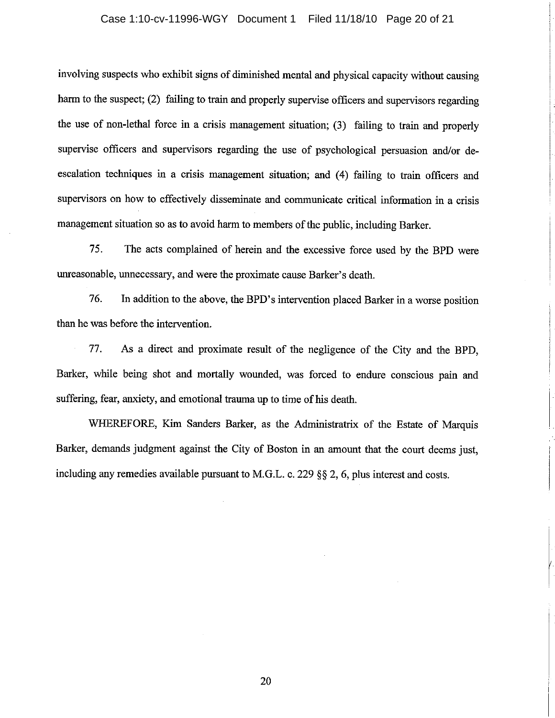### Case 1:10-cv-11996-WGY Document 1 Filed 11/18/10 Page 20 of 21

involving suspects who exhibit signs of diminished mental and physical capacity without causing harm to the suspect; (2) failing to train and properly supervise officers and supervisors regarding the use of non-lethal force in a crisis management situation; (3) failing to train and properly supervise officers and supervisors regarding the use of psychological persuasion and/or deescalation techniques in a crisis management situation; and (4) failing to train officers and supervisors on how to effectively disseminate and communicate critical information in a crisis management situation so as to avoid harm to members of the public, including Barker.

75. The acts complained of herein and the excessive force used by the BPD were unreasonable, unnecessary, and were the proximate cause Barker's death.

76. In addition to the above, the BPD's intervention placed Barker in a worse position than he was before the intervention.

77. As a direct and proximate result of the negligence of the City and the BPD, Barker, while being shot and mortally wounded, was forced to endure conscious pain and suffering, fear, anxiety, and emotional trauma up to time of his death.

WHEREFORE, Kim Sanders Barker, as the Administratrix of the Estate of Marquis Barker, demands judgment against the City of Boston in an amount that the court deems just, including any remedies available pursuant to M.G.L. c. 229 §§ 2, 6, plus interest and costs.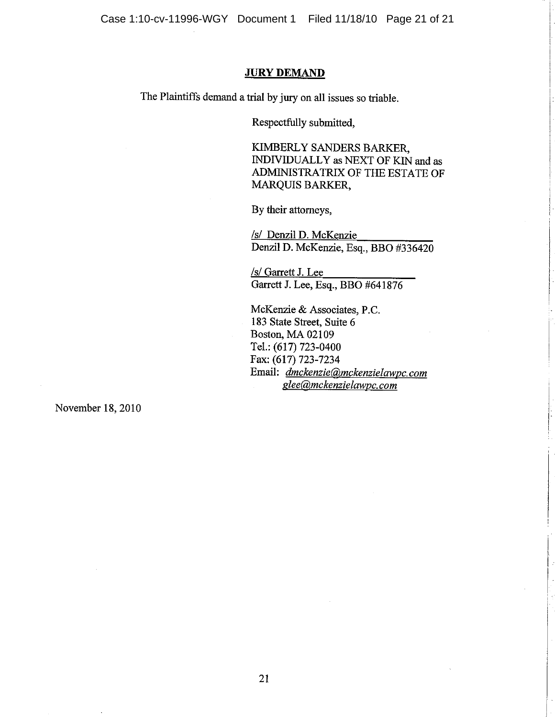#### **JURY DEMAND**

The Plaintiffs demand a trial by jury on all issues so triable.

Respectfully submitted,

KIMBERLY SANDERS BARKER. INDIVIDUALLY as NEXT OF KIN and as ADMINISTRATRIX OF THE ESTATE OF **MARQUIS BARKER,** 

By their attorneys,

/s/ Denzil D. McKenzie Denzil D. McKenzie, Esq., BBO #336420

/s/ Garrett J. Lee Garrett J. Lee, Esq., BBO #641876

McKenzie & Associates, P.C. 183 State Street, Suite 6 Boston, MA 02109 Tel.: (617) 723-0400 Fax: (617) 723-7234 Email: dmckenzie@mckenzielawpc.com glee@mckenzielawpc.com

November 18, 2010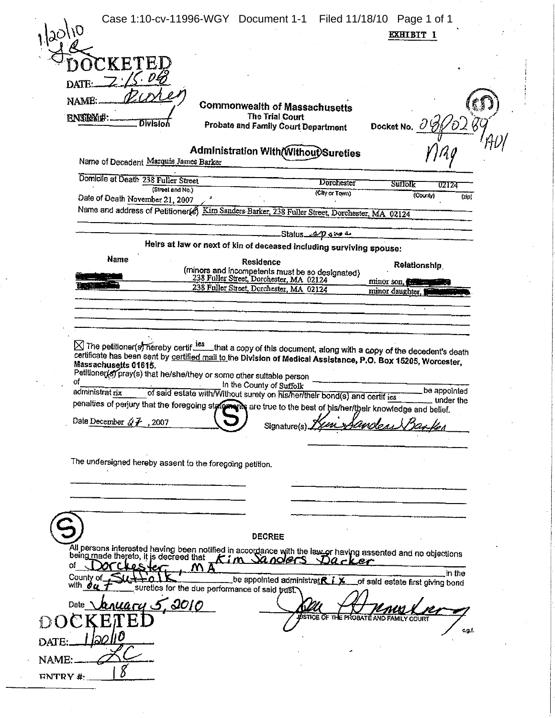|                                                                                                                                                                                                                                                                                            | Case 1:10-cv-11996-WGY Document 1-1 Filed 11/18/10 Page 1 of 1                                                                                                                                                                                                                                  |                                     |                                                             |  |
|--------------------------------------------------------------------------------------------------------------------------------------------------------------------------------------------------------------------------------------------------------------------------------------------|-------------------------------------------------------------------------------------------------------------------------------------------------------------------------------------------------------------------------------------------------------------------------------------------------|-------------------------------------|-------------------------------------------------------------|--|
| 120110                                                                                                                                                                                                                                                                                     |                                                                                                                                                                                                                                                                                                 |                                     | <b>EXHIBIT 1</b>                                            |  |
|                                                                                                                                                                                                                                                                                            |                                                                                                                                                                                                                                                                                                 |                                     |                                                             |  |
|                                                                                                                                                                                                                                                                                            |                                                                                                                                                                                                                                                                                                 |                                     |                                                             |  |
| NAME:                                                                                                                                                                                                                                                                                      |                                                                                                                                                                                                                                                                                                 |                                     |                                                             |  |
| ENTRYM#.                                                                                                                                                                                                                                                                                   | <b>Commonwealth of Massachusetts</b><br><b>The Trial Court</b>                                                                                                                                                                                                                                  |                                     |                                                             |  |
| <b>Division</b>                                                                                                                                                                                                                                                                            | Probate and Family Court Department                                                                                                                                                                                                                                                             |                                     | Docket No. 0                                                |  |
| Name of Decedent Marquis James Barker                                                                                                                                                                                                                                                      | Administration With Without Sureties                                                                                                                                                                                                                                                            |                                     |                                                             |  |
| Domicile at Death 238 Fuller Street                                                                                                                                                                                                                                                        |                                                                                                                                                                                                                                                                                                 |                                     |                                                             |  |
| (Street and No.)                                                                                                                                                                                                                                                                           |                                                                                                                                                                                                                                                                                                 | <b>Dorchester</b><br>(City or Town) | $S$ ull $\partial \mathbf{k}$<br>02124<br>(County)<br>(zip) |  |
| Date of Death November 21, 2007                                                                                                                                                                                                                                                            | Name and address of Petitioner(8) Kim Sanders Barker, 238 Fuller Street, Dorchester, MA 02124                                                                                                                                                                                                   |                                     |                                                             |  |
|                                                                                                                                                                                                                                                                                            |                                                                                                                                                                                                                                                                                                 |                                     |                                                             |  |
|                                                                                                                                                                                                                                                                                            | Heirs at law or next of kin of deceased including surviving spouse:                                                                                                                                                                                                                             | مه مده 90 منه Status                |                                                             |  |
| Name                                                                                                                                                                                                                                                                                       | Residence                                                                                                                                                                                                                                                                                       |                                     | Relationship                                                |  |
|                                                                                                                                                                                                                                                                                            | (minors and incompetents must be so designated)<br>238 Fuller Street, Dorchester, MA 02124                                                                                                                                                                                                      |                                     | minor son,                                                  |  |
|                                                                                                                                                                                                                                                                                            | 238 Fuller Street, Dorchester, MA 02124                                                                                                                                                                                                                                                         |                                     | minor daughter. I                                           |  |
|                                                                                                                                                                                                                                                                                            |                                                                                                                                                                                                                                                                                                 |                                     |                                                             |  |
|                                                                                                                                                                                                                                                                                            |                                                                                                                                                                                                                                                                                                 |                                     |                                                             |  |
| ⊠ The petitioner(s) hereby certif <sup>ies</sup> that a copy of this document, along with a copy of the decedent's death<br>Massachusetts 01615.<br>of<br>administrat rix<br>penalties of perjury that the foregoing state and the true to the best of his/her/their knowledge and belief. | certificate has been sent by certified mail to the Division of Medical Assistance, P.O. Box 15205, Worcester,<br>Petitioner(s) pray(s) that he/she/they or some other suitable person<br>In the County of Suffolk<br>of said estate with/Without surety on his/her/their bond(s) and certif ies |                                     | be appointed<br>under the                                   |  |
| Date December $\sqrt[3]{f}$ , 2007                                                                                                                                                                                                                                                         | Signature(s) $\cancel{12}$                                                                                                                                                                                                                                                                      |                                     | un Sandeas Basks                                            |  |
| The undersigned hereby assent to the foregoing petition.                                                                                                                                                                                                                                   |                                                                                                                                                                                                                                                                                                 |                                     |                                                             |  |
|                                                                                                                                                                                                                                                                                            |                                                                                                                                                                                                                                                                                                 |                                     |                                                             |  |
|                                                                                                                                                                                                                                                                                            |                                                                                                                                                                                                                                                                                                 |                                     |                                                             |  |
|                                                                                                                                                                                                                                                                                            |                                                                                                                                                                                                                                                                                                 |                                     |                                                             |  |
|                                                                                                                                                                                                                                                                                            | <b>DECREE</b>                                                                                                                                                                                                                                                                                   |                                     |                                                             |  |
|                                                                                                                                                                                                                                                                                            |                                                                                                                                                                                                                                                                                                 |                                     |                                                             |  |
| All persons interested having been notified in accordance with the law or having assented and no objections being made thereto, it is decreed that $\pm$ of $m$ $\sim$ $\alpha$ $\alpha$ ers. $\beta$ $\alpha$ $\alpha$ $\alpha$ $\beta$<br>оf<br>OS.<br>County of                         | be appointed administratre ix                                                                                                                                                                                                                                                                   |                                     | in the<br>of said estate first giving bond                  |  |
| with du<br>nuary 5,0010                                                                                                                                                                                                                                                                    | sureties for the due performance of said trust.                                                                                                                                                                                                                                                 |                                     |                                                             |  |
| Date                                                                                                                                                                                                                                                                                       |                                                                                                                                                                                                                                                                                                 |                                     | WSTICE OF THE PROBATE AND FAMILY COURT                      |  |
|                                                                                                                                                                                                                                                                                            |                                                                                                                                                                                                                                                                                                 |                                     | c.g.f.                                                      |  |
| <b>DATE</b>                                                                                                                                                                                                                                                                                |                                                                                                                                                                                                                                                                                                 |                                     |                                                             |  |
| NAME:<br><b>ENTRY #</b>                                                                                                                                                                                                                                                                    |                                                                                                                                                                                                                                                                                                 |                                     |                                                             |  |
|                                                                                                                                                                                                                                                                                            |                                                                                                                                                                                                                                                                                                 |                                     |                                                             |  |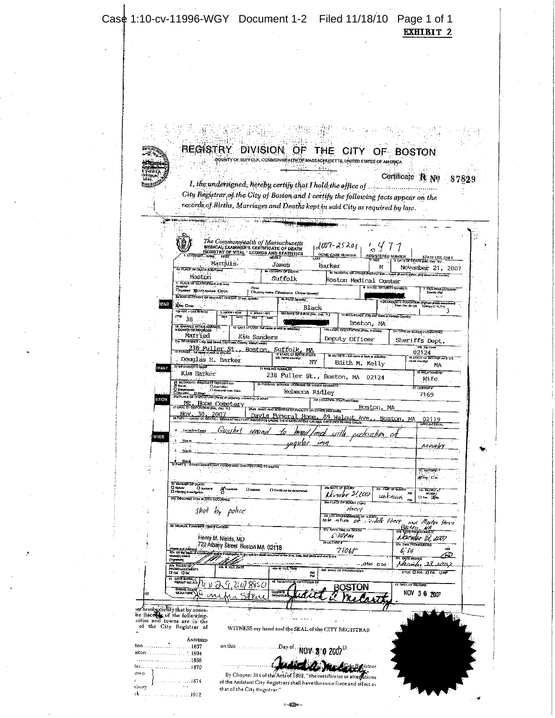|                                                                   |                                                                                                                                |                                              | REGISTRY DIVISION OF                                                         | THE CITY                                                                                                                                              |                                                                                        | OF BOSTON                                                                           |                                                 |  |
|-------------------------------------------------------------------|--------------------------------------------------------------------------------------------------------------------------------|----------------------------------------------|------------------------------------------------------------------------------|-------------------------------------------------------------------------------------------------------------------------------------------------------|----------------------------------------------------------------------------------------|-------------------------------------------------------------------------------------|-------------------------------------------------|--|
|                                                                   |                                                                                                                                |                                              |                                                                              | GOUNTY OF SUFFOLK, COMMONWEALTH OF MASSACHUSETTS, UNITED STATES OF AMERICA                                                                            |                                                                                        |                                                                                     |                                                 |  |
| rom<br>DITA 20<br>1630                                            |                                                                                                                                |                                              |                                                                              |                                                                                                                                                       |                                                                                        | Certificate R No                                                                    | 87829                                           |  |
|                                                                   |                                                                                                                                |                                              |                                                                              | I, the undersigned, hereby certify that I hold the office of.<br>City Registrar of the City of Boston and I certify the following facts appear on the |                                                                                        |                                                                                     |                                                 |  |
|                                                                   |                                                                                                                                |                                              |                                                                              | records of Births, Marriages and Deaths kept in said City as required by law.                                                                         |                                                                                        |                                                                                     |                                                 |  |
|                                                                   |                                                                                                                                |                                              |                                                                              |                                                                                                                                                       |                                                                                        |                                                                                     |                                                 |  |
|                                                                   |                                                                                                                                |                                              |                                                                              |                                                                                                                                                       |                                                                                        |                                                                                     |                                                 |  |
|                                                                   |                                                                                                                                |                                              | The Commonwealth of Massachusetts<br>MEDICAL EXAMINER'S CERTIFICATE OF DEATH | 2007-2520 <sub>11</sub>                                                                                                                               | $\frac{1}{2}$                                                                          |                                                                                     |                                                 |  |
|                                                                   | DECEDENT-NAME                                                                                                                  | FIRST                                        | RÉGISTRY OF VITAL " ECORDS AND STATISTICS                                    | <b>OCME CASE NUMBER</b>                                                                                                                               | REGISTERED NUMBER<br>7 SFY                                                             | <b>J DATE OF DEATH (AAC DAY, W)</b>                                                 |                                                 |  |
|                                                                   | 4 PLACE OF DEATH (CRyToma)                                                                                                     | Marquis.                                     | Jaries<br><b>A COUNTY OF DEATH</b>                                           | Barker                                                                                                                                                | М<br>4c HOSPITAL OR OTHER HISTITUTION - Name (E not in althor, prior form) and number) |                                                                                     | November 21, 2007                               |  |
|                                                                   | Boston<br>5" PLACE OF DEATH (Check only only                                                                                   |                                              | Suffolk                                                                      |                                                                                                                                                       | Boston Medical Center                                                                  |                                                                                     |                                                 |  |
|                                                                   | Discussed REPOWNERS DOOR<br>BE WAS DECEDENT OF HISPANIC ORIGIN? (If you, specify)                                              | Other                                        | Dilursing Home, DiRassidence, ClOper (spectly):                              |                                                                                                                                                       | <b>C SOCIAL SECURITY NUMBER</b>                                                        |                                                                                     | <b>T IFUS WAR VETERAN</b><br>Specify Via        |  |
| ent                                                               | <b>XXIII DYES</b>                                                                                                              |                                              | <b>Ob RACE (specify)</b>                                                     | <b>Black</b>                                                                                                                                          |                                                                                        | 9 DECEDENT'S ECUCATION (Diphasi printe comp.<br>- Elem-Soc (0-12) College (1-4' S+) |                                                 |  |
| (Ya)                                                              | 10a ADE - Las Braday<br>38.                                                                                                    | <b>D. UNDER 1 YEAR</b><br>ल्ला<br><b>HRS</b> | C: LINDER I DAY                                                              | <b>10d DATE OF BIRTH (Ms., Ouy, Yr.)</b>                                                                                                              | 11 BIRTHPLACE (City and State or Foreign County)                                       |                                                                                     | ٦                                               |  |
|                                                                   | 12 MARRIED, REVER MARRIED.<br>WIDOWED OR DIVORCED                                                                              | 15 UST SPOUSE (ha name                       | birth or accordant                                                           | 14a USUAL OCCUPATION (Prior, 8 militar)                                                                                                               | Boston, MA                                                                             | <b>148 TYPE OF BUSINESS MADDSTRY</b>                                                |                                                 |  |
|                                                                   | Married<br>15a RESOLENCE - No. and Strait Cayriown, County, State County                                                       | Kim Sanders                                  |                                                                              | Deputy Officer                                                                                                                                        |                                                                                        | Sheriffs Dept.                                                                      | 156 Zip Code                                    |  |
|                                                                   | <b>16 FATHER St. Boston</b><br>Douglas E. Barker                                                                               |                                              | Suffolk, MA<br>17 STATE OF BRITH O'TO IT<br>US, new country                  | 16 MOTHER - full name at birth or adoption                                                                                                            |                                                                                        | 02124                                                                               | <b>19 STATE OF BIRTHAW AND IN US.</b>           |  |
| MANT                                                              | 20 BY ORIGINATS NAME                                                                                                           |                                              | 21 MAIL ING ADORESS                                                          | NΥ                                                                                                                                                    | Edith M. Kelly                                                                         | nsale courty)                                                                       | <b>MA</b>                                       |  |
|                                                                   | Kim Barker                                                                                                                     |                                              |                                                                              | 238 Fuller St., Boston, MA                                                                                                                            |                                                                                        |                                                                                     | 22 RELATIONSHIP                                 |  |
|                                                                   |                                                                                                                                |                                              |                                                                              |                                                                                                                                                       | 02124                                                                                  |                                                                                     | Wife                                            |  |
|                                                                   | 23 METHOD OF INNEDIATE DISPOSITION<br>$\therefore$ $\frac{\Box$ Committee $\Box$<br><b>D</b> Entremotive                       |                                              | 24 FUNERAL SERVICE LICENSEE OR OTHER DESIGNEE                                |                                                                                                                                                       |                                                                                        | 25. LICENSE T                                                                       |                                                 |  |
| SITION                                                            | O Donation D Down<br>25a PLACE OF DISPOSITION (Nemi of certainly crem                                                          |                                              |                                                                              | Rebecca Ridley<br>260 LOCATION (Chyflown/State)                                                                                                       |                                                                                        |                                                                                     | 7169                                            |  |
|                                                                   | Mt. Hope Cemetery                                                                                                              |                                              | 28ab AAALE AND ADDRESS OF FACILITY OR OTHER DESIGNED                         |                                                                                                                                                       | <u>Boston, MA</u>                                                                      |                                                                                     |                                                 |  |
|                                                                   | .30.<br>Nov.<br>2007<br>29 PART I - CAUSE OF DEATH -                                                                           | <b>SEQUENTIMILY I</b>                        | <u>Funeral</u>                                                               | Home<br><u>89 Walnut Ave</u>                                                                                                                          | Boston.                                                                                | MA                                                                                  | 02119<br><b>APPX INTERVAL</b>                   |  |
| <b>IF ER</b>                                                      | Immediate Caps                                                                                                                 | <u>Gunshrt</u><br>uoun                       |                                                                              |                                                                                                                                                       |                                                                                        |                                                                                     |                                                 |  |
|                                                                   | 'Dué to                                                                                                                        |                                              | saankir                                                                      | rt I                                                                                                                                                  |                                                                                        |                                                                                     | sanases                                         |  |
|                                                                   | فعف                                                                                                                            |                                              |                                                                              |                                                                                                                                                       |                                                                                        |                                                                                     |                                                 |  |
|                                                                   | 4 Die Mitchell Schule (2010) TOND TON CONTRIBUTING TO DEATH<br>30 PART II - OTHER SIGNIFICANT CONDITIONS CONTRIBUTING TO DEATH |                                              |                                                                              |                                                                                                                                                       |                                                                                        |                                                                                     | <b>T. AUTORS</b>                                |  |
|                                                                   | 34 MANVIER OF DEATH                                                                                                            |                                              |                                                                              |                                                                                                                                                       |                                                                                        |                                                                                     | அப்ஷ் பட                                        |  |
| <b>O</b> Natural                                                  | C Accident<br>D Pending Investigation                                                                                          | ger Homicks<br>C<br><b>D</b> Suicide         | El Could out be delemined                                                    | 35. DATE OF BUURY<br>Kromber 2,200                                                                                                                    | <b>156 THAT OF THURN</b><br>unknam                                                     |                                                                                     | <b>JSC BULRYAT</b><br>WORK?<br><b>Drei Dire</b> |  |
|                                                                   | 354 DESCRIBE HOW INJURY COOLISRED                                                                                              |                                              |                                                                              | <b>JURY (Type</b><br>Arcer                                                                                                                            |                                                                                        |                                                                                     |                                                 |  |
|                                                                   | shot by police                                                                                                                 |                                              |                                                                              | 35 LOCATION/ADDRESS OF INJURY<br>inte errien<br>ot                                                                                                    | <b>Service Heart</b>                                                                   |                                                                                     |                                                 |  |
|                                                                   | 36 MEDICAL EXAMINER CERTIFICATION                                                                                              |                                              |                                                                              | <b>37c APPX TIME OF DEATH</b>                                                                                                                         |                                                                                        | Boiten WA                                                                           | and Morton Street                               |  |
|                                                                   | Henry M. Nields, MD                                                                                                            |                                              |                                                                              | s sor m<br><b>DUCENSE F</b>                                                                                                                           |                                                                                        | hKiempe 21, 2007<br>374 TIME PRONOUNCED                                             |                                                 |  |
| (Neme and Adena<br>37a On the hanna<br>Cause(s) stated            |                                                                                                                                | 720 Albany Street Boston MA 02118            | Doadon in him colluon death accurred at the line, date, and place            | 7FO 65                                                                                                                                                |                                                                                        | 6, 30<br>376 DYTE BICKED                                                            | يند<br>Fы.                                      |  |
| (Strakes)                                                         | 40 RW PAY NB Z                                                                                                                 |                                              | <b>IF YES, THE</b>                                                           |                                                                                                                                                       | oo ⊕. Chân شر-                                                                         | Massider 25                                                                         | 107.)                                           |  |
| <b>Diei Offi</b>                                                  |                                                                                                                                |                                              | 2 received in City/Town OI                                                   | 400 NAME OF PRONOUNCER                                                                                                                                |                                                                                        | TITLE CIRN (OPA ONP                                                                 |                                                 |  |
|                                                                   | DATE BURWLY<br>PERMIT ISSUED<br>BURKE AGE<br><b>SIGNATURE</b>                                                                  | 885 C                                        | $C$ Here $S$                                                                 | ROSTON                                                                                                                                                |                                                                                        | 43 DATE OF RECORD                                                                   |                                                 |  |
|                                                                   |                                                                                                                                |                                              | <b>SIGNATUR</b>                                                              |                                                                                                                                                       |                                                                                        | NOV 3 0 2007                                                                        |                                                 |  |
| ter hereby dertify that by annex-<br>he Recepts of the following. |                                                                                                                                |                                              |                                                                              |                                                                                                                                                       |                                                                                        |                                                                                     |                                                 |  |
| cities and towns are in the<br>of the City Registrar of           |                                                                                                                                |                                              |                                                                              |                                                                                                                                                       |                                                                                        |                                                                                     |                                                 |  |
|                                                                   | ANNEXED                                                                                                                        |                                              |                                                                              | WITNESS my hand and the SEAL of the CITY REGISTRAR                                                                                                    |                                                                                        |                                                                                     |                                                 |  |
|                                                                   | . 1637                                                                                                                         | on this $\ldots$ .                           | .Day of .                                                                    |                                                                                                                                                       |                                                                                        |                                                                                     |                                                 |  |
| kton ……<br>.                                                      | $\therefore$ 1804<br>. 1868<br>.1870                                                                                           |                                              |                                                                              | $\text{NOV}$ \$ 0 2007 $^{\circ}$                                                                                                                     | tu Bahistra r                                                                          |                                                                                     |                                                 |  |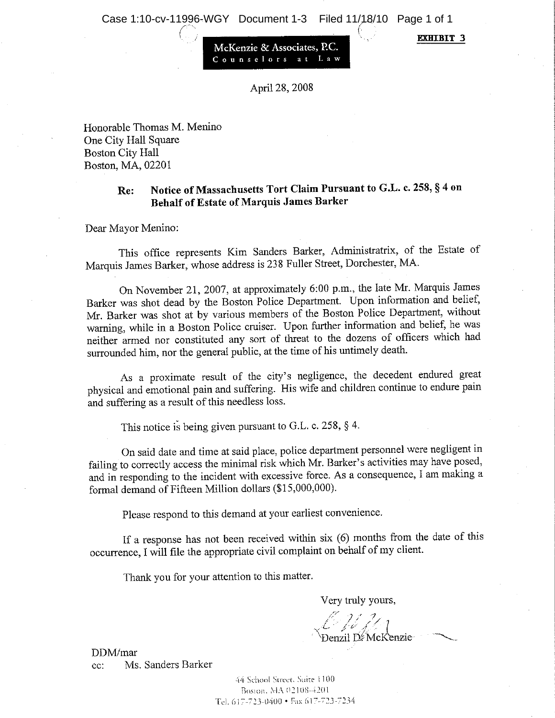**EXHIBIT 3** 

McKenzie & Associates. P.C.

April 28, 2008

Honorable Thomas M. Menino One City Hall Square **Boston City Hall** Boston, MA, 02201

#### Notice of Massachusetts Tort Claim Pursuant to G.L. c. 258, § 4 on  $Re$ **Behalf of Estate of Marquis James Barker**

Dear Mayor Menino:

This office represents Kim Sanders Barker, Administratrix, of the Estate of Marquis James Barker, whose address is 238 Fuller Street, Dorchester, MA.

On November 21, 2007, at approximately 6:00 p.m., the late Mr. Marquis James Barker was shot dead by the Boston Police Department. Upon information and belief, Mr. Barker was shot at by various members of the Boston Police Department, without warning, while in a Boston Police cruiser. Upon further information and belief, he was neither armed nor constituted any sort of threat to the dozens of officers which had surrounded him, nor the general public, at the time of his untimely death.

As a proximate result of the city's negligence, the decedent endured great physical and emotional pain and suffering. His wife and children continue to endure pain and suffering as a result of this needless loss.

This notice is being given pursuant to G.L. c. 258, § 4.

On said date and time at said place, police department personnel were negligent in failing to correctly access the minimal risk which Mr. Barker's activities may have posed, and in responding to the incident with excessive force. As a consequence, I am making a formal demand of Fifteen Million dollars (\$15,000,000).

Please respond to this demand at your earliest convenience.

If a response has not been received within six  $(6)$  months from the date of this occurrence, I will file the appropriate civil complaint on behalf of my client.

Thank you for your attention to this matter.

Very truly yours,

 $\mathbb{Z} \mathbb{Z}$  ( )  $\mathbb{Z}_1$  Denzil DeMcKenzie

DDM/mar Ms. Sanders Barker  $cc$ :

> 44 School Street, Suite 1100 Boston, MA 02108-4201 Tel. 617-723-0400 • Fax 617-723-7234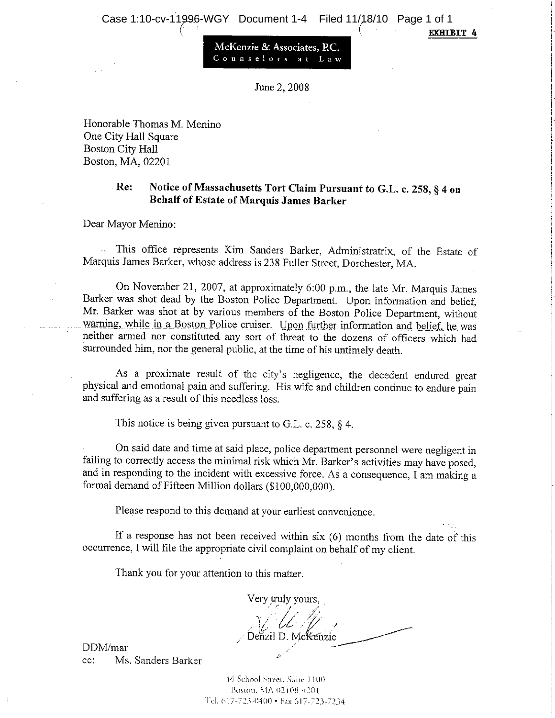**EXHIBIT 4** 

McKenzie & Associates, P.C. Counselors at Law

June 2, 2008

Honorable Thomas M. Menino One City Hall Square **Boston City Hall** Boston, MA, 02201

#### Notice of Massachusetts Tort Claim Pursuant to G.L. c. 258, § 4 on Re: **Behalf of Estate of Marquis James Barker**

Dear Mayor Menino:

- This office represents Kim Sanders Barker, Administratrix, of the Estate of Marquis James Barker, whose address is 238 Fuller Street, Dorchester, MA.

On November 21, 2007, at approximately 6:00 p.m., the late Mr. Marquis James Barker was shot dead by the Boston Police Department. Upon information and belief, Mr. Barker was shot at by various members of the Boston Police Department, without warning, while in a Boston Police cruiser. Upon further information and belief, he was neither armed nor constituted any sort of threat to the dozens of officers which had surrounded him, nor the general public, at the time of his untimely death.

As a proximate result of the city's negligence, the decedent endured great physical and emotional pain and suffering. His wife and children continue to endure pain and suffering as a result of this needless loss.

This notice is being given pursuant to G.L. c. 258,  $\S$  4.

On said date and time at said place, police department personnel were negligent in failing to correctly access the minimal risk which Mr. Barker's activities may have posed, and in responding to the incident with excessive force. As a consequence, I am making a formal demand of Fifteen Million dollars (\$100,000,000).

Please respond to this demand at your earliest convenience.

If a response has not been received within  $six(6)$  months from the date of this occurrence, I will file the appropriate civil complaint on behalf of my client.

Thank you for your attention to this matter.

Very truly yours, Denzil D. McKenzie

DDM/mar Ms. Sanders Barker  $cc$ :

> 44 School Street, Suite 1100 Boston, MA 02108-4201 Tel. 617-723-0400 · Fax 617-723-7234